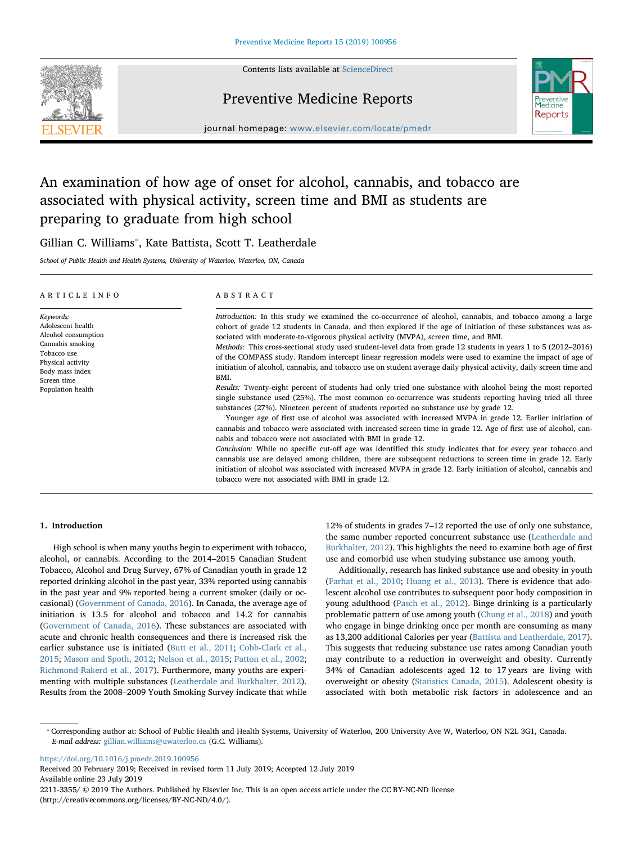

Contents lists available at [ScienceDirect](http://www.sciencedirect.com/science/journal/22113355)

## Preventive Medicine Reports



journal homepage: [www.elsevier.com/locate/pmedr](https://www.elsevier.com/locate/pmedr)

# An examination of how age of onset for alcohol, cannabis, and tobacco are associated with physical activity, screen time and BMI as students are preparing to graduate from high school

Gillian C. Williams<sup>\*</sup>, Kate Battista, Scott T. Leatherdale

School of Public Health and Health Systems, University of Waterloo, Waterloo, ON, Canada

| ARTICLE INFO                                                                                                                                                         | ABSTRACT                                                                                                                                                                                                                                                                                                                                                                                                                                                                                                                                                                                                                                                                                                                                                                                                                                                                                                                                                                                                                                                                                                                                                                                                                                                                                                                                                                                                                                                                                                                                                                                                                                                                                               |
|----------------------------------------------------------------------------------------------------------------------------------------------------------------------|--------------------------------------------------------------------------------------------------------------------------------------------------------------------------------------------------------------------------------------------------------------------------------------------------------------------------------------------------------------------------------------------------------------------------------------------------------------------------------------------------------------------------------------------------------------------------------------------------------------------------------------------------------------------------------------------------------------------------------------------------------------------------------------------------------------------------------------------------------------------------------------------------------------------------------------------------------------------------------------------------------------------------------------------------------------------------------------------------------------------------------------------------------------------------------------------------------------------------------------------------------------------------------------------------------------------------------------------------------------------------------------------------------------------------------------------------------------------------------------------------------------------------------------------------------------------------------------------------------------------------------------------------------------------------------------------------------|
| Keywords:<br>Adolescent health<br>Alcohol consumption<br>Cannabis smoking<br>Tobacco use<br>Physical activity<br>Body mass index<br>Screen time<br>Population health | Introduction: In this study we examined the co-occurrence of alcohol, cannabis, and tobacco among a large<br>cohort of grade 12 students in Canada, and then explored if the age of initiation of these substances was as-<br>sociated with moderate-to-vigorous physical activity (MVPA), screen time, and BMI.<br>Methods: This cross-sectional study used student-level data from grade 12 students in years 1 to 5 (2012–2016)<br>of the COMPASS study. Random intercept linear regression models were used to examine the impact of age of<br>initiation of alcohol, cannabis, and tobacco use on student average daily physical activity, daily screen time and<br>BMI.<br>Results: Twenty-eight percent of students had only tried one substance with alcohol being the most reported<br>single substance used (25%). The most common co-occurrence was students reporting having tried all three<br>substances (27%). Nineteen percent of students reported no substance use by grade 12.<br>Younger age of first use of alcohol was associated with increased MVPA in grade 12. Earlier initiation of<br>cannabis and tobacco were associated with increased screen time in grade 12. Age of first use of alcohol, can-<br>nabis and tobacco were not associated with BMI in grade 12.<br>Conclusion: While no specific cut-off age was identified this study indicates that for every year tobacco and<br>cannabis use are delayed among children, there are subsequent reductions to screen time in grade 12. Early<br>initiation of alcohol was associated with increased MVPA in grade 12. Early initiation of alcohol, cannabis and<br>tobacco were not associated with BMI in grade 12. |

### 1. Introduction

High school is when many youths begin to experiment with tobacco, alcohol, or cannabis. According to the 2014–2015 Canadian Student Tobacco, Alcohol and Drug Survey, 67% of Canadian youth in grade 12 reported drinking alcohol in the past year, 33% reported using cannabis in the past year and 9% reported being a current smoker (daily or occasional) [\(Government of Canada, 2016\)](#page-10-0). In Canada, the average age of initiation is 13.5 for alcohol and tobacco and 14.2 for cannabis ([Government of Canada, 2016\)](#page-10-0). These substances are associated with acute and chronic health consequences and there is increased risk the earlier substance use is initiated [\(Butt et al., 2011;](#page-9-0) [Cobb-Clark et al.,](#page-9-1) [2015;](#page-9-1) [Mason and Spoth, 2012](#page-10-1); [Nelson et al., 2015;](#page-10-2) [Patton et al., 2002](#page-10-3); [Richmond-Rakerd et al., 2017\)](#page-10-4). Furthermore, many youths are experimenting with multiple substances [\(Leatherdale and Burkhalter, 2012](#page-10-5)). Results from the 2008–2009 Youth Smoking Survey indicate that while

12% of students in grades 7–12 reported the use of only one substance, the same number reported concurrent substance use [\(Leatherdale and](#page-10-5) [Burkhalter, 2012](#page-10-5)). This highlights the need to examine both age of first use and comorbid use when studying substance use among youth.

Additionally, research has linked substance use and obesity in youth ([Farhat et al., 2010](#page-10-6); [Huang et al., 2013](#page-10-7)). There is evidence that adolescent alcohol use contributes to subsequent poor body composition in young adulthood [\(Pasch et al., 2012](#page-10-8)). Binge drinking is a particularly problematic pattern of use among youth ([Chung et al., 2018](#page-9-2)) and youth who engage in binge drinking once per month are consuming as many as 13,200 additional Calories per year ([Battista and Leatherdale, 2017](#page-9-3)). This suggests that reducing substance use rates among Canadian youth may contribute to a reduction in overweight and obesity. Currently 34% of Canadian adolescents aged 12 to 17 years are living with overweight or obesity ([Statistics Canada, 2015](#page-10-9)). Adolescent obesity is associated with both metabolic risk factors in adolescence and an

<https://doi.org/10.1016/j.pmedr.2019.100956>

Received 20 February 2019; Received in revised form 11 July 2019; Accepted 12 July 2019 Available online 23 July 2019

2211-3355/ © 2019 The Authors. Published by Elsevier Inc. This is an open access article under the CC BY-NC-ND license (http://creativecommons.org/licenses/BY-NC-ND/4.0/).

<span id="page-0-0"></span><sup>⁎</sup> Corresponding author at: School of Public Health and Health Systems, University of Waterloo, 200 University Ave W, Waterloo, ON N2L 3G1, Canada. E-mail address: [gillian.williams@uwaterloo.ca](mailto:gillian.williams@uwaterloo.ca) (G.C. Williams).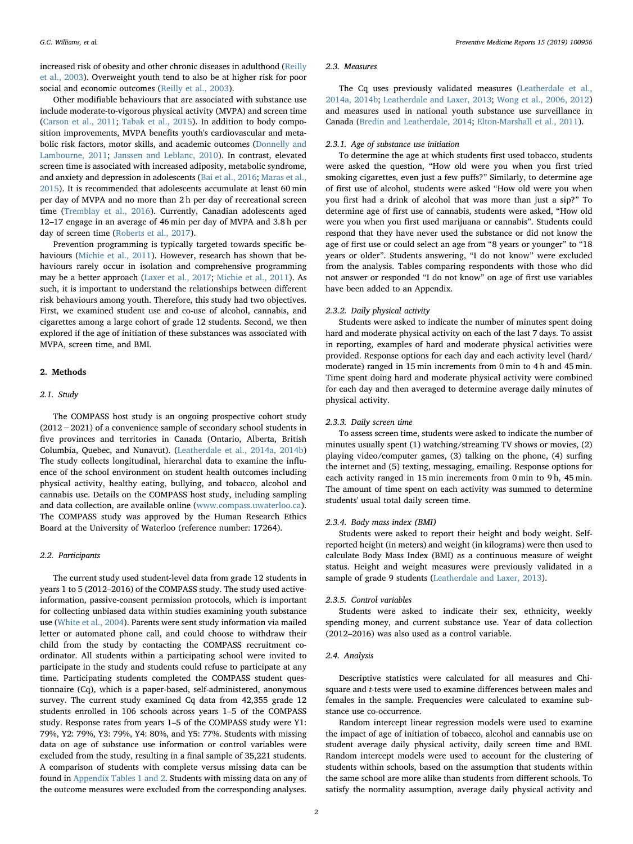increased risk of obesity and other chronic diseases in adulthood [\(Reilly](#page-10-10) [et al., 2003](#page-10-10)). Overweight youth tend to also be at higher risk for poor social and economic outcomes ([Reilly et al., 2003](#page-10-10)).

Other modifiable behaviours that are associated with substance use include moderate-to-vigorous physical activity (MVPA) and screen time ([Carson et al., 2011](#page-9-4); [Tabak et al., 2015\)](#page-10-11). In addition to body composition improvements, MVPA benefits youth's cardiovascular and metabolic risk factors, motor skills, and academic outcomes ([Donnelly and](#page-10-12) [Lambourne, 2011](#page-10-12); [Janssen and Leblanc, 2010](#page-10-13)). In contrast, elevated screen time is associated with increased adiposity, metabolic syndrome, and anxiety and depression in adolescents [\(Bai et al., 2016;](#page-9-5) [Maras et al.,](#page-10-14) [2015\)](#page-10-14). It is recommended that adolescents accumulate at least 60 min per day of MVPA and no more than 2 h per day of recreational screen time [\(Tremblay et al., 2016\)](#page-10-15). Currently, Canadian adolescents aged 12–17 engage in an average of 46 min per day of MVPA and 3.8 h per day of screen time [\(Roberts et al., 2017](#page-10-16)).

Prevention programming is typically targeted towards specific behaviours [\(Michie et al., 2011](#page-10-17)). However, research has shown that behaviours rarely occur in isolation and comprehensive programming may be a better approach ([Laxer et al., 2017](#page-10-18); [Michie et al., 2011](#page-10-17)). As such, it is important to understand the relationships between different risk behaviours among youth. Therefore, this study had two objectives. First, we examined student use and co-use of alcohol, cannabis, and cigarettes among a large cohort of grade 12 students. Second, we then explored if the age of initiation of these substances was associated with MVPA, screen time, and BMI.

#### 2. Methods

#### 2.1. Study

The COMPASS host study is an ongoing prospective cohort study (2012−2021) of a convenience sample of secondary school students in five provinces and territories in Canada (Ontario, Alberta, British Columbia, Quebec, and Nunavut). [\(Leatherdale et al., 2014a, 2014b\)](#page-10-19) The study collects longitudinal, hierarchal data to examine the influence of the school environment on student health outcomes including physical activity, healthy eating, bullying, and tobacco, alcohol and cannabis use. Details on the COMPASS host study, including sampling and data collection, are available online ([www.compass.uwaterloo.ca](http://www.compass.uwaterloo.ca)). The COMPASS study was approved by the Human Research Ethics Board at the University of Waterloo (reference number: 17264).

#### 2.2. Participants

The current study used student-level data from grade 12 students in years 1 to 5 (2012–2016) of the COMPASS study. The study used activeinformation, passive-consent permission protocols, which is important for collecting unbiased data within studies examining youth substance use [\(White et al., 2004\)](#page-10-20). Parents were sent study information via mailed letter or automated phone call, and could choose to withdraw their child from the study by contacting the COMPASS recruitment coordinator. All students within a participating school were invited to participate in the study and students could refuse to participate at any time. Participating students completed the COMPASS student questionnaire (Cq), which is a paper-based, self-administered, anonymous survey. The current study examined Cq data from 42,355 grade 12 students enrolled in 106 schools across years 1–5 of the COMPASS study. Response rates from years 1–5 of the COMPASS study were Y1: 79%, Y2: 79%, Y3: 79%, Y4: 80%, and Y5: 77%. Students with missing data on age of substance use information or control variables were excluded from the study, resulting in a final sample of 35,221 students. A comparison of students with complete versus missing data can be found in [Appendix Tables 1 and 2.](#page-6-0) Students with missing data on any of the outcome measures were excluded from the corresponding analyses.

#### 2.3. Measures

The Cq uses previously validated measures ([Leatherdale et al.,](#page-10-19) [2014a, 2014b;](#page-10-19) [Leatherdale and Laxer, 2013;](#page-10-21) [Wong et al., 2006, 2012\)](#page-10-22) and measures used in national youth substance use surveillance in Canada [\(Bredin and Leatherdale, 2014](#page-9-6); [Elton-Marshall et al., 2011](#page-10-23)).

#### 2.3.1. Age of substance use initiation

To determine the age at which students first used tobacco, students were asked the question, "How old were you when you first tried smoking cigarettes, even just a few puffs?" Similarly, to determine age of first use of alcohol, students were asked "How old were you when you first had a drink of alcohol that was more than just a sip?" To determine age of first use of cannabis, students were asked, "How old were you when you first used marijuana or cannabis". Students could respond that they have never used the substance or did not know the age of first use or could select an age from "8 years or younger" to "18 years or older". Students answering, "I do not know" were excluded from the analysis. Tables comparing respondents with those who did not answer or responded "I do not know" on age of first use variables have been added to an Appendix.

#### 2.3.2. Daily physical activity

Students were asked to indicate the number of minutes spent doing hard and moderate physical activity on each of the last 7 days. To assist in reporting, examples of hard and moderate physical activities were provided. Response options for each day and each activity level (hard/ moderate) ranged in 15 min increments from 0 min to 4 h and 45 min. Time spent doing hard and moderate physical activity were combined for each day and then averaged to determine average daily minutes of physical activity.

#### 2.3.3. Daily screen time

To assess screen time, students were asked to indicate the number of minutes usually spent (1) watching/streaming TV shows or movies, (2) playing video/computer games, (3) talking on the phone, (4) surfing the internet and (5) texting, messaging, emailing. Response options for each activity ranged in 15 min increments from 0 min to 9 h, 45 min. The amount of time spent on each activity was summed to determine students' usual total daily screen time.

#### 2.3.4. Body mass index (BMI)

Students were asked to report their height and body weight. Selfreported height (in meters) and weight (in kilograms) were then used to calculate Body Mass Index (BMI) as a continuous measure of weight status. Height and weight measures were previously validated in a sample of grade 9 students [\(Leatherdale and Laxer, 2013\)](#page-10-21).

#### 2.3.5. Control variables

Students were asked to indicate their sex, ethnicity, weekly spending money, and current substance use. Year of data collection (2012–2016) was also used as a control variable.

#### 2.4. Analysis

Descriptive statistics were calculated for all measures and Chisquare and t-tests were used to examine differences between males and females in the sample. Frequencies were calculated to examine substance use co-occurrence.

Random intercept linear regression models were used to examine the impact of age of initiation of tobacco, alcohol and cannabis use on student average daily physical activity, daily screen time and BMI. Random intercept models were used to account for the clustering of students within schools, based on the assumption that students within the same school are more alike than students from different schools. To satisfy the normality assumption, average daily physical activity and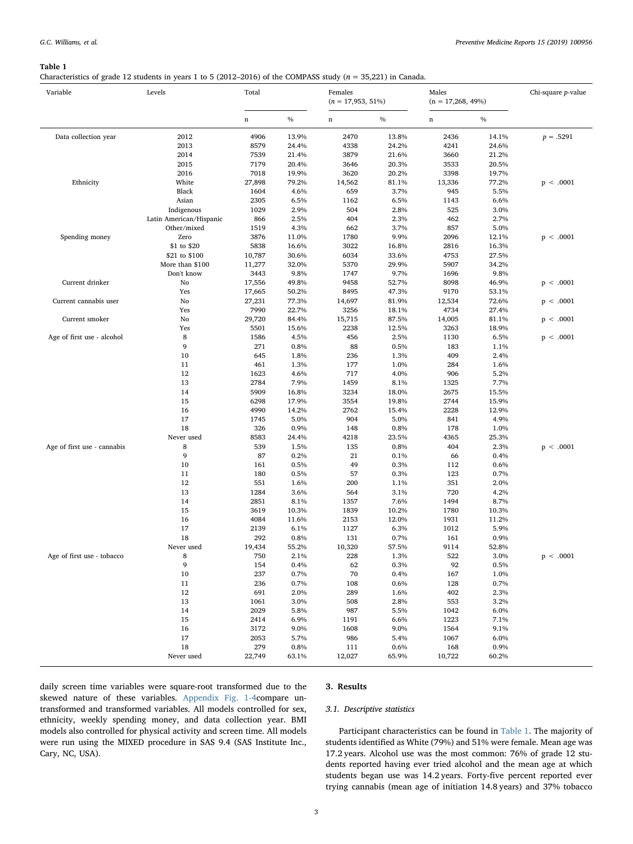#### <span id="page-2-0"></span>Table 1

Characteristics of grade 12 students in years 1 to 5 (2012–2016) of the COMPASS study ( $n = 35,221$ ) in Canada.

| Variable                    | Levels                                | Total        |                | Females<br>$(n = 17,953, 51\%)$ |                | Males<br>$(n = 17,268, 49\%)$ |                | Chi-square p-value |
|-----------------------------|---------------------------------------|--------------|----------------|---------------------------------|----------------|-------------------------------|----------------|--------------------|
|                             |                                       | $\mathbf n$  | $\%$           | n                               | $\%$           | n                             | $\frac{0}{0}$  |                    |
| Data collection year        | 2012<br>2013                          | 4906<br>8579 | 13.9%<br>24.4% | 2470<br>4338                    | 13.8%<br>24.2% | 2436<br>4241                  | 14.1%<br>24.6% | $p = .5291$        |
|                             | 2014<br>2015                          | 7539<br>7179 | 21.4%<br>20.4% | 3879<br>3646                    | 21.6%<br>20.3% | 3660<br>3533                  | 21.2%<br>20.5% |                    |
|                             | 2016                                  | 7018         | 19.9%          | 3620                            | 20.2%          | 3398                          | 19.7%          |                    |
| Ethnicity                   | White                                 | 27,898       | 79.2%          | 14,562                          | 81.1%          | 13,336                        | 77.2%          | p < .0001          |
|                             | Black                                 | 1604         | 4.6%           | 659                             | 3.7%           | 945                           | 5.5%           |                    |
|                             | Asian                                 | 2305         | 6.5%           | 1162                            | 6.5%           | 1143                          | 6.6%           |                    |
|                             | Indigenous<br>Latin American/Hispanic | 1029         | 2.9%<br>2.5%   | 504<br>404                      | 2.8%<br>2.3%   | 525<br>462                    | 3.0%<br>2.7%   |                    |
|                             | Other/mixed                           | 866<br>1519  | 4.3%           | 662                             | 3.7%           | 857                           | 5.0%           |                    |
| Spending money              | Zero                                  | 3876         | 11.0%          | 1780                            | 9.9%           | 2096                          | 12.1%          | p < .0001          |
|                             | \$1 to \$20                           | 5838         | 16.6%          | 3022                            | 16.8%          | 2816                          | 16.3%          |                    |
|                             | \$21 to \$100                         | 10,787       | 30.6%          | 6034                            | 33.6%          | 4753                          | 27.5%          |                    |
|                             | More than \$100                       | 11,277       | 32.0%          | 5370                            | 29.9%          | 5907                          | 34.2%          |                    |
|                             | Don't know                            | 3443         | 9.8%           | 1747                            | 9.7%           | 1696                          | 9.8%           |                    |
| Current drinker             | No                                    | 17,556       | 49.8%          | 9458                            | 52.7%          | 8098                          | 46.9%          | p < .0001          |
|                             | Yes                                   | 17,665       | 50.2%          | 8495                            | 47.3%          | 9170                          | 53.1%          |                    |
| Current cannabis user       | No                                    | 27,231       | 77.3%          | 14,697                          | 81.9%          | 12,534                        | 72.6%          | p < .0001          |
|                             | Yes                                   | 7990         | 22.7%          | 3256                            | 18.1%          | 4734                          | 27.4%          |                    |
| Current smoker              | No                                    | 29,720       | 84.4%          | 15,715                          | 87.5%          | 14,005                        | 81.1%          | p < .0001          |
|                             | Yes                                   | 5501         | 15.6%          | 2238                            | 12.5%          | 3263                          | 18.9%          |                    |
| Age of first use - alcohol  | 8                                     | 1586         | 4.5%           | 456                             | 2.5%           | 1130                          | 6.5%           | p < .0001          |
|                             | 9                                     | 271          | 0.8%           | 88                              | 0.5%           | 183                           | 1.1%           |                    |
|                             | 10                                    | 645          | 1.8%           | 236                             | 1.3%           | 409                           | 2.4%           |                    |
|                             | 11                                    | 461          | 1.3%           | 177                             | 1.0%           | 284                           | 1.6%           |                    |
|                             | 12                                    | 1623         | 4.6%           | 717                             | 4.0%           | 906                           | 5.2%           |                    |
|                             | 13                                    | 2784         | 7.9%           | 1459                            | 8.1%           | 1325                          | 7.7%           |                    |
|                             | 14                                    | 5909         | 16.8%          | 3234                            | 18.0%          | 2675                          | 15.5%          |                    |
|                             | 15                                    | 6298         | 17.9%          | 3554                            | 19.8%          | 2744                          | 15.9%          |                    |
|                             | 16                                    | 4990         | 14.2%          | 2762<br>904                     | 15.4%          | 2228                          | 12.9%          |                    |
|                             | 17<br>18                              | 1745<br>326  | 5.0%<br>0.9%   | 148                             | 5.0%<br>0.8%   | 841<br>178                    | 4.9%<br>1.0%   |                    |
|                             | Never used                            | 8583         | 24.4%          | 4218                            | 23.5%          | 4365                          | 25.3%          |                    |
| Age of first use - cannabis | 8                                     | 539          | 1.5%           | 135                             | 0.8%           | 404                           | 2.3%           | p < .0001          |
|                             | 9                                     | 87           | 0.2%           | 21                              | 0.1%           | 66                            | 0.4%           |                    |
|                             | 10                                    | 161          | 0.5%           | 49                              | 0.3%           | 112                           | 0.6%           |                    |
|                             | 11                                    | 180          | 0.5%           | 57                              | 0.3%           | 123                           | 0.7%           |                    |
|                             | 12                                    | 551          | 1.6%           | 200                             | 1.1%           | 351                           | 2.0%           |                    |
|                             | 13                                    | 1284         | 3.6%           | 564                             | 3.1%           | 720                           | 4.2%           |                    |
|                             | 14                                    | 2851         | 8.1%           | 1357                            | 7.6%           | 1494                          | 8.7%           |                    |
|                             | 15                                    | 3619         | 10.3%          | 1839                            | 10.2%          | 1780                          | 10.3%          |                    |
|                             | 16                                    | 4084         | 11.6%          | 2153                            | 12.0%          | 1931                          | 11.2%          |                    |
|                             | 17                                    | 2139         | 6.1%           | 1127                            | 6.3%           | 1012                          | 5.9%           |                    |
|                             | 18                                    | 292          | 0.8%           | 131                             | 0.7%           | 161                           | 0.9%           |                    |
|                             | Never used                            | 19,434       | 55.2%          | 10,320                          | 57.5%          | 9114                          | 52.8%          |                    |
| Age of first use - tobacco  | 8                                     | 750          | 2.1%           | 228                             | 1.3%           | 522                           | 3.0%           | p < .0001          |
|                             | 9                                     | 154          | 0.4%           | 62                              | 0.3%           | 92                            | 0.5%           |                    |
|                             | 10                                    | 237          | 0.7%           | 70                              | 0.4%           | 167                           | 1.0%           |                    |
|                             | 11<br>12                              | 236<br>691   | 0.7%<br>2.0%   | 108<br>289                      | 0.6%<br>1.6%   | 128<br>402                    | 0.7%<br>2.3%   |                    |
|                             | 13                                    | 1061         | 3.0%           | 508                             | 2.8%           | 553                           | 3.2%           |                    |
|                             | 14                                    | 2029         | 5.8%           | 987                             | 5.5%           | 1042                          | 6.0%           |                    |
|                             | 15                                    | 2414         | 6.9%           | 1191                            | 6.6%           | 1223                          | 7.1%           |                    |
|                             | 16                                    | 3172         | 9.0%           | 1608                            | 9.0%           | 1564                          | 9.1%           |                    |
|                             | 17                                    | 2053         | 5.7%           | 986                             | 5.4%           | 1067                          | 6.0%           |                    |
|                             | 18                                    | 279          | 0.8%           | 111                             | 0.6%           | 168                           | 0.9%           |                    |
|                             | Never used                            | 22,749       | 63.1%          | 12,027                          | 65.9%          | 10,722                        | 60.2%          |                    |

daily screen time variables were square-root transformed due to the skewed nature of these variables. Appendix Fig. 1-4compare untransformed and transformed variables. All models controlled for sex, ethnicity, weekly spending money, and data collection year. BMI models also controlled for physical activity and screen time. All models were run using the MIXED procedure in SAS 9.4 (SAS Institute Inc., Cary, NC, USA).

#### 3. Results

#### 3.1. Descriptive statistics

Participant characteristics can be found in [Table 1.](#page-2-0) The majority of students identified as White (79%) and 51% were female. Mean age was 17.2 years. Alcohol use was the most common: 76% of grade 12 students reported having ever tried alcohol and the mean age at which students began use was 14.2 years. Forty-five percent reported ever trying cannabis (mean age of initiation 14.8 years) and 37% tobacco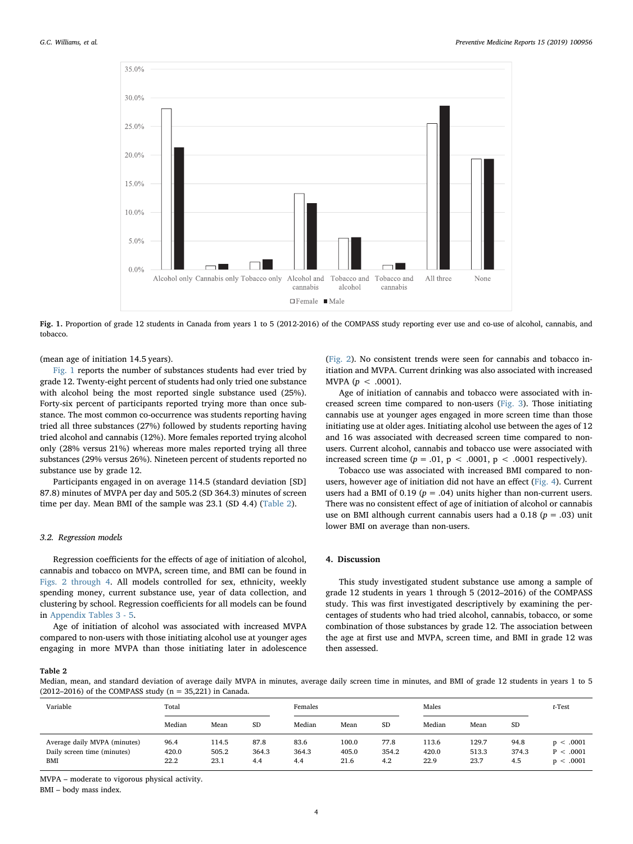<span id="page-3-0"></span>

Fig. 1. Proportion of grade 12 students in Canada from years 1 to 5 (2012-2016) of the COMPASS study reporting ever use and co-use of alcohol, cannabis, and tobacco.

(mean age of initiation 14.5 years).

[Fig. 1](#page-3-0) reports the number of substances students had ever tried by grade 12. Twenty-eight percent of students had only tried one substance with alcohol being the most reported single substance used (25%). Forty-six percent of participants reported trying more than once substance. The most common co-occurrence was students reporting having tried all three substances (27%) followed by students reporting having tried alcohol and cannabis (12%). More females reported trying alcohol only (28% versus 21%) whereas more males reported trying all three substances (29% versus 26%). Nineteen percent of students reported no substance use by grade 12.

Participants engaged in on average 114.5 (standard deviation [SD] 87.8) minutes of MVPA per day and 505.2 (SD 364.3) minutes of screen time per day. Mean BMI of the sample was 23.1 (SD 4.4) ([Table 2](#page-3-1)).

#### 3.2. Regression models

Regression coefficients for the effects of age of initiation of alcohol, cannabis and tobacco on MVPA, screen time, and BMI can be found in [Figs. 2 through 4.](#page-4-0) All models controlled for sex, ethnicity, weekly spending money, current substance use, year of data collection, and clustering by school. Regression coefficients for all models can be found in [Appendix Tables 3 - 5.](#page-6-1)

Age of initiation of alcohol was associated with increased MVPA compared to non-users with those initiating alcohol use at younger ages engaging in more MVPA than those initiating later in adolescence

([Fig. 2](#page-4-0)). No consistent trends were seen for cannabis and tobacco initiation and MVPA. Current drinking was also associated with increased MVPA  $(p < .0001)$ .

Age of initiation of cannabis and tobacco were associated with increased screen time compared to non-users [\(Fig. 3](#page-4-1)). Those initiating cannabis use at younger ages engaged in more screen time than those initiating use at older ages. Initiating alcohol use between the ages of 12 and 16 was associated with decreased screen time compared to nonusers. Current alcohol, cannabis and tobacco use were associated with increased screen time  $(p = .01, p < .0001, p < .0001$  respectively).

Tobacco use was associated with increased BMI compared to nonusers, however age of initiation did not have an effect [\(Fig. 4](#page-5-0)). Current users had a BMI of 0.19 ( $p = .04$ ) units higher than non-current users. There was no consistent effect of age of initiation of alcohol or cannabis use on BMI although current cannabis users had a 0.18 ( $p = .03$ ) unit lower BMI on average than non-users.

#### 4. Discussion

This study investigated student substance use among a sample of grade 12 students in years 1 through 5 (2012–2016) of the COMPASS study. This was first investigated descriptively by examining the percentages of students who had tried alcohol, cannabis, tobacco, or some combination of those substances by grade 12. The association between the age at first use and MVPA, screen time, and BMI in grade 12 was then assessed.

#### <span id="page-3-1"></span>Table 2

Median, mean, and standard deviation of average daily MVPA in minutes, average daily screen time in minutes, and BMI of grade 12 students in years 1 to 5 (2012–2016) of the COMPASS study ( $n = 35,221$ ) in Canada.

| Variable                                                           | Total                 |                        | Females              |                      |                        | Males                |                        |                        | t-Test               |                                     |
|--------------------------------------------------------------------|-----------------------|------------------------|----------------------|----------------------|------------------------|----------------------|------------------------|------------------------|----------------------|-------------------------------------|
|                                                                    | Median                | Mean                   | <b>SD</b>            | Median               | Mean                   | <b>SD</b>            | Median                 | Mean                   | <b>SD</b>            |                                     |
| Average daily MVPA (minutes)<br>Daily screen time (minutes)<br>BMI | 96.4<br>420.0<br>22.2 | 114.5<br>505.2<br>23.1 | 87.8<br>364.3<br>4.4 | 83.6<br>364.3<br>4.4 | 100.0<br>405.0<br>21.6 | 77.8<br>354.2<br>4.2 | 113.6<br>420.0<br>22.9 | 129.7<br>513.3<br>23.7 | 94.8<br>374.3<br>4.5 | p < .0001<br>P < .0001<br>p < .0001 |

MVPA – moderate to vigorous physical activity.

BMI – body mass index.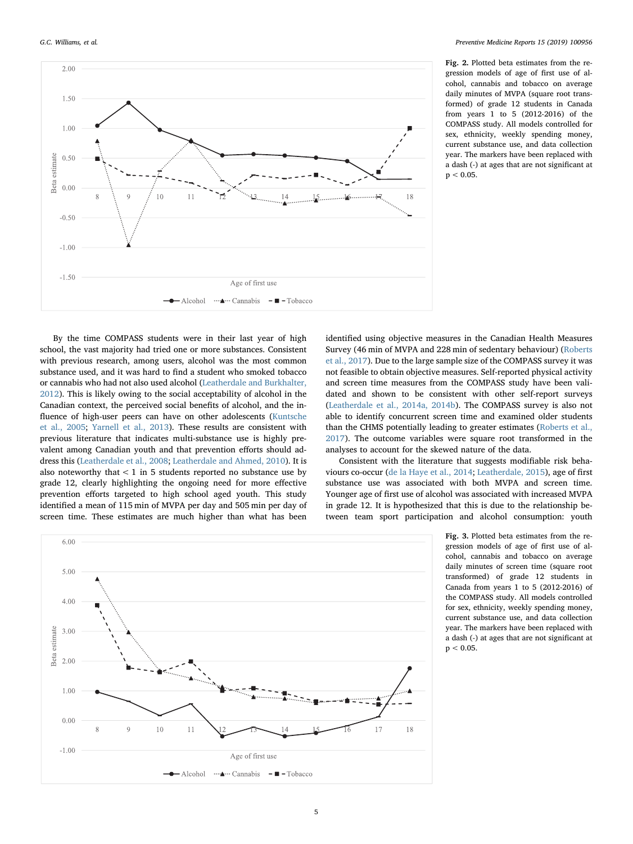<span id="page-4-0"></span> $2.00$ 

 $1.5($ 

 $1.00$ 

 $-0.50$ 

 $-1.00$ 

 $-1.50$ 

 $\circ$ 

 $\circ$ 

 $10$ 

 $11$ 

Age of first use  $-\text{Alcohol}$   $\cdots$   $\cdots$  Cannabis  $-\blacksquare$  - Tobacco

estimate  $0.50$ 

Beta  $0.00$  Fig. 2. Plotted beta estimates from the regression models of age of first use of alcohol, cannabis and tobacco on average daily minutes of MVPA (square root transformed) of grade 12 students in Canada from years 1 to 5 (2012-2016) of the COMPASS study. All models controlled for sex, ethnicity, weekly spending money, current substance use, and data collection year. The markers have been replaced with a dash (-) at ages that are not significant at  $p < 0.05$ .





 $18$ 

Consistent with the literature that suggests modifiable risk behaviours co-occur ([de la Haye et al., 2014;](#page-9-7) [Leatherdale, 2015\)](#page-10-28), age of first substance use was associated with both MVPA and screen time. Younger age of first use of alcohol was associated with increased MVPA in grade 12. It is hypothesized that this is due to the relationship between team sport participation and alcohol consumption: youth

<span id="page-4-1"></span>

Fig. 3. Plotted beta estimates from the regression models of age of first use of alcohol, cannabis and tobacco on average daily minutes of screen time (square root transformed) of grade 12 students in Canada from years 1 to 5 (2012-2016) of the COMPASS study. All models controlled for sex, ethnicity, weekly spending money, current substance use, and data collection year. The markers have been replaced with a dash (-) at ages that are not significant at  $p < 0.05$ .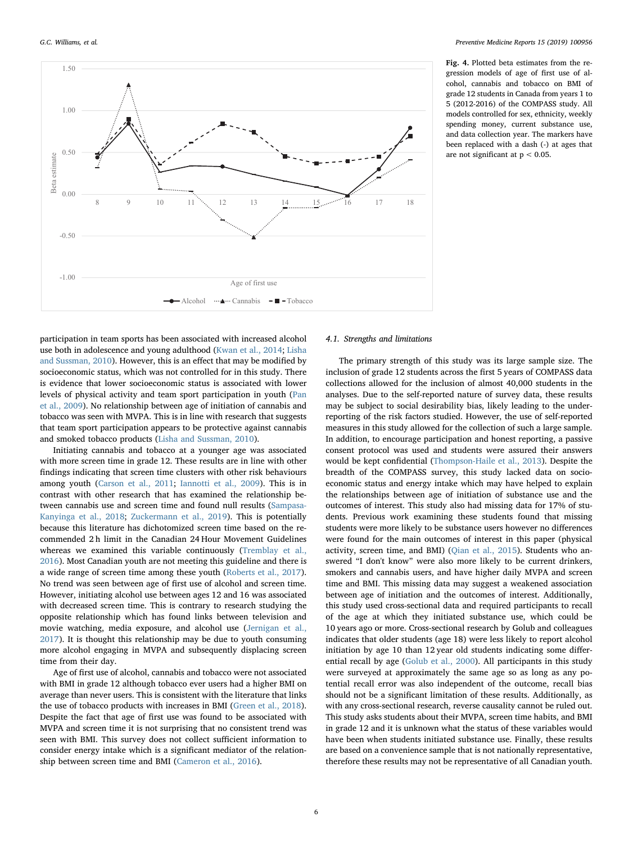<span id="page-5-0"></span>

Fig. 4. Plotted beta estimates from the regression models of age of first use of alcohol, cannabis and tobacco on BMI of grade 12 students in Canada from years 1 to 5 (2012-2016) of the COMPASS study. All models controlled for sex, ethnicity, weekly spending money, current substance use, and data collection year. The markers have been replaced with a dash (-) at ages that are not significant at  $p < 0.05$ .

participation in team sports has been associated with increased alcohol use both in adolescence and young adulthood ([Kwan et al., 2014;](#page-10-29) [Lisha](#page-10-30) [and Sussman, 2010](#page-10-30)). However, this is an effect that may be modified by socioeconomic status, which was not controlled for in this study. There is evidence that lower socioeconomic status is associated with lower levels of physical activity and team sport participation in youth [\(Pan](#page-10-31) [et al., 2009\)](#page-10-31). No relationship between age of initiation of cannabis and tobacco was seen with MVPA. This is in line with research that suggests that team sport participation appears to be protective against cannabis and smoked tobacco products [\(Lisha and Sussman, 2010](#page-10-30)).

Initiating cannabis and tobacco at a younger age was associated with more screen time in grade 12. These results are in line with other findings indicating that screen time clusters with other risk behaviours among youth ([Carson et al., 2011;](#page-9-4) [Iannotti et al., 2009\)](#page-10-32). This is in contrast with other research that has examined the relationship between cannabis use and screen time and found null results [\(Sampasa-](#page-10-33)[Kanyinga et al., 2018](#page-10-33); [Zuckermann et al., 2019\)](#page-10-34). This is potentially because this literature has dichotomized screen time based on the recommended 2 h limit in the Canadian 24 Hour Movement Guidelines whereas we examined this variable continuously [\(Tremblay et al.,](#page-10-15) [2016\)](#page-10-15). Most Canadian youth are not meeting this guideline and there is a wide range of screen time among these youth [\(Roberts et al., 2017](#page-10-16)). No trend was seen between age of first use of alcohol and screen time. However, initiating alcohol use between ages 12 and 16 was associated with decreased screen time. This is contrary to research studying the opposite relationship which has found links between television and movie watching, media exposure, and alcohol use [\(Jernigan et al.,](#page-10-35) [2017\)](#page-10-35). It is thought this relationship may be due to youth consuming more alcohol engaging in MVPA and subsequently displacing screen time from their day.

Age of first use of alcohol, cannabis and tobacco were not associated with BMI in grade 12 although tobacco ever users had a higher BMI on average than never users. This is consistent with the literature that links the use of tobacco products with increases in BMI ([Green et al., 2018](#page-10-36)). Despite the fact that age of first use was found to be associated with MVPA and screen time it is not surprising that no consistent trend was seen with BMI. This survey does not collect sufficient information to consider energy intake which is a significant mediator of the relationship between screen time and BMI [\(Cameron et al., 2016\)](#page-9-8).

#### 4.1. Strengths and limitations

The primary strength of this study was its large sample size. The inclusion of grade 12 students across the first 5 years of COMPASS data collections allowed for the inclusion of almost 40,000 students in the analyses. Due to the self-reported nature of survey data, these results may be subject to social desirability bias, likely leading to the underreporting of the risk factors studied. However, the use of self-reported measures in this study allowed for the collection of such a large sample. In addition, to encourage participation and honest reporting, a passive consent protocol was used and students were assured their answers would be kept confidential [\(Thompson-Haile et al., 2013\)](#page-10-37). Despite the breadth of the COMPASS survey, this study lacked data on socioeconomic status and energy intake which may have helped to explain the relationships between age of initiation of substance use and the outcomes of interest. This study also had missing data for 17% of students. Previous work examining these students found that missing students were more likely to be substance users however no differences were found for the main outcomes of interest in this paper (physical activity, screen time, and BMI) ([Qian et al., 2015\)](#page-10-38). Students who answered "I don't know" were also more likely to be current drinkers, smokers and cannabis users, and have higher daily MVPA and screen time and BMI. This missing data may suggest a weakened association between age of initiation and the outcomes of interest. Additionally, this study used cross-sectional data and required participants to recall of the age at which they initiated substance use, which could be 10 years ago or more. Cross-sectional research by Golub and colleagues indicates that older students (age 18) were less likely to report alcohol initiation by age 10 than 12 year old students indicating some differential recall by age ([Golub et al., 2000\)](#page-10-39). All participants in this study were surveyed at approximately the same age so as long as any potential recall error was also independent of the outcome, recall bias should not be a significant limitation of these results. Additionally, as with any cross-sectional research, reverse causality cannot be ruled out. This study asks students about their MVPA, screen time habits, and BMI in grade 12 and it is unknown what the status of these variables would have been when students initiated substance use. Finally, these results are based on a convenience sample that is not nationally representative, therefore these results may not be representative of all Canadian youth.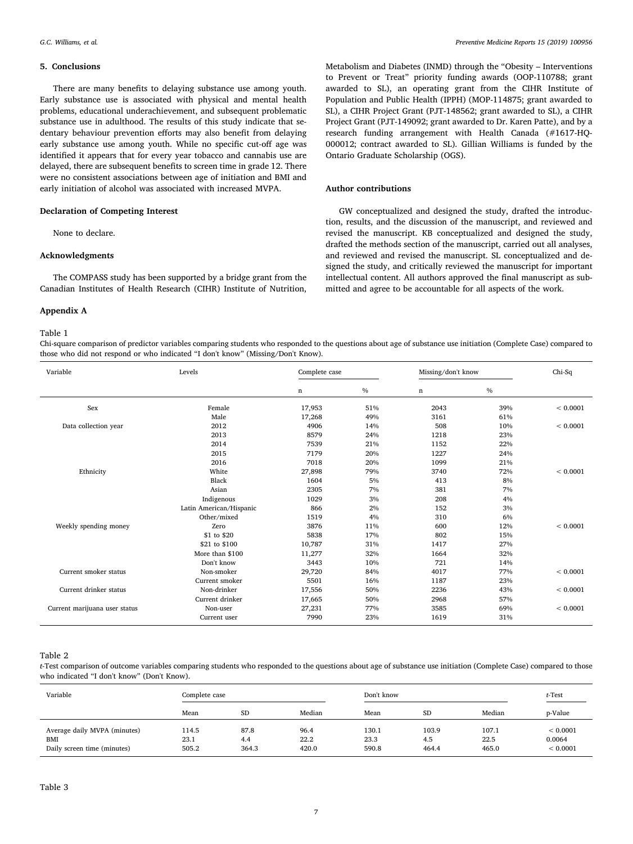#### 5. Conclusions

There are many benefits to delaying substance use among youth. Early substance use is associated with physical and mental health problems, educational underachievement, and subsequent problematic substance use in adulthood. The results of this study indicate that sedentary behaviour prevention efforts may also benefit from delaying early substance use among youth. While no specific cut-off age was identified it appears that for every year tobacco and cannabis use are delayed, there are subsequent benefits to screen time in grade 12. There were no consistent associations between age of initiation and BMI and early initiation of alcohol was associated with increased MVPA.

#### Declaration of Competing Interest

None to declare.

#### Acknowledgments

The COMPASS study has been supported by a bridge grant from the Canadian Institutes of Health Research (CIHR) Institute of Nutrition,

#### Appendix A

#### <span id="page-6-0"></span>Table 1

Chi-square comparison of predictor variables comparing students who responded to the questions about age of substance use initiation (Complete Case) compared to those who did not respond or who indicated "I don't know" (Missing/Don't Know).

Sex Female 17,953 51% 2043 39% < 0.0001

Ethnicity White 27,898 79% 3740 72% < 0.0001

Data collection year 2012 4906 14% 508 10% < 0.0001

Weekly spending money <br>  $\text{Zero}$  <br>  $\text{S1 to $20}$ <br>  $\text{S10}$  <br>  $\text{S21}$  <br>  $\text{S338}$  <br>  $\text{C1\%}$  <br>  $\text{C1\%}$  <br>  $\text{S02}$  <br>  $\text{S1\%}$  <br>  $\text{S1\%}$  <br>  $\text{S1\%}$  <br>  $\text{S1\%}$  <br>  $\text{S1\%}$  <br>  $\text{S2\%}$  <br>  $\text{S1\%}$  <br>  $\text{S1\%$ 

Current smoker status Non-smoker 29,720 84% 4017 77% < 0.0001

Current drinker status Non-drinker 17,556 50% 2236 43% < 0.0001

Current marijuana user status Non-user 27,231 77% 3585 69% < 0.0001

Male  $17,268$   $49\%$   $3161$   $61\%$ 

 8579 24% 1218 23% 7539 21% 1152 22% 7179 20% 1227 24% 7018 20% 1099 21%

Black 1604 5% 413 8% Asian 2305 7% 381 7% 381 Indigenous 1029 3% 208 4% Latin American/Hispanic 866 2% 152 3% Other/mixed 1519 4% 310 6% 310<br>
Tero 3876 11% 600 12%

 $$1 to $20$  5838 17% 802 15% \$21 to \$100 10,787 31% 1417 27% More than \$100 11,277 32% 1664 32% Don't know 3443 10% 721 14%

Current smoker 5501 5501 16% 1187 1187 23%

Current drinker 17,665 50% 2968 57%

Current user 7990 23% 1619 31%

Variable Levels Complete case Missing/don't know Chi-Sq

Metabolism and Diabetes (INMD) through the "Obesity – Interventions to Prevent or Treat" priority funding awards (OOP-110788; grant awarded to SL), an operating grant from the CIHR Institute of Population and Public Health (IPPH) (MOP-114875; grant awarded to SL), a CIHR Project Grant (PJT-148562; grant awarded to SL), a CIHR Project Grant (PJT-149092; grant awarded to Dr. Karen Patte), and by a research funding arrangement with Health Canada (#1617-HQ-000012; contract awarded to SL). Gillian Williams is funded by the Ontario Graduate Scholarship (OGS).

#### Author contributions

n  $\%$  n  $\%$ 

GW conceptualized and designed the study, drafted the introduction, results, and the discussion of the manuscript, and reviewed and revised the manuscript. KB conceptualized and designed the study, drafted the methods section of the manuscript, carried out all analyses, and reviewed and revised the manuscript. SL conceptualized and designed the study, and critically reviewed the manuscript for important intellectual content. All authors approved the final manuscript as submitted and agree to be accountable for all aspects of the work.

#### Table 2

t-Test comparison of outcome variables comparing students who responded to the questions about age of substance use initiation (Complete Case) compared to those who indicated "I don't know" (Don't Know).

<span id="page-6-1"></span>

| Variable                                                           | Complete case          |                      |                       | Don't know             |                       | t-Test                 |                                |
|--------------------------------------------------------------------|------------------------|----------------------|-----------------------|------------------------|-----------------------|------------------------|--------------------------------|
|                                                                    | Mean                   | <b>SD</b>            | Median                | Mean                   | SD                    | Median                 | p-Value                        |
| Average daily MVPA (minutes)<br>BMI<br>Daily screen time (minutes) | 114.5<br>23.1<br>505.2 | 87.8<br>4.4<br>364.3 | 96.4<br>22.2<br>420.0 | 130.1<br>23.3<br>590.8 | 103.9<br>4.5<br>464.4 | 107.1<br>22.5<br>465.0 | < 0.0001<br>0.0064<br>< 0.0001 |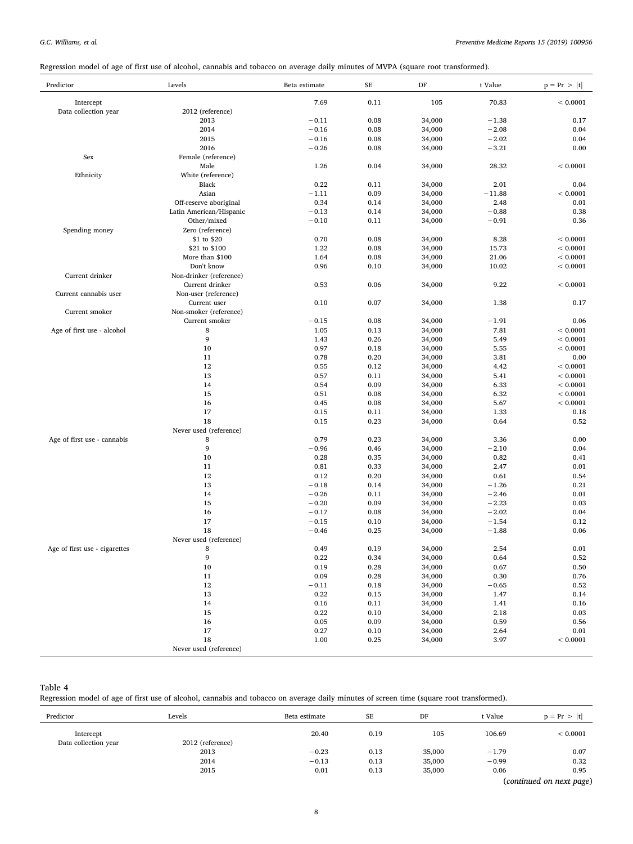Regression model of age of first use of alcohol, cannabis and tobacco on average daily minutes of MVPA (square root transformed).

| Predictor                     | Levels                                  | Beta estimate | $\rm SE$     | DF               | t Value      | $p = Pr >  t $ |
|-------------------------------|-----------------------------------------|---------------|--------------|------------------|--------------|----------------|
| Intercept                     |                                         | 7.69          | 0.11         | 105              | 70.83        | < 0.0001       |
| Data collection year          | 2012 (reference)                        |               |              |                  |              |                |
|                               | 2013                                    | $-0.11$       | 0.08         | 34,000           | $-1.38$      | 0.17           |
|                               | 2014                                    | $-0.16$       | 0.08         | 34,000           | $-2.08$      | 0.04           |
|                               | 2015                                    | $-0.16$       | 0.08         | 34,000           | $-2.02$      | 0.04           |
|                               | 2016                                    | $-0.26$       | 0.08         | 34,000           | $-3.21$      | 0.00           |
| Sex                           | Female (reference)                      |               |              |                  |              |                |
|                               | Male                                    | 1.26          | 0.04         | 34,000           | 28.32        | < 0.0001       |
| Ethnicity                     | White (reference)                       |               |              |                  |              |                |
|                               | Black                                   | 0.22          | 0.11         | 34,000           | 2.01         | 0.04           |
|                               | Asian                                   | $-1.11$       | 0.09         | 34,000           | $-11.88$     | < 0.0001       |
|                               | Off-reserve aboriginal                  | 0.34          | 0.14         | 34,000           | 2.48         | 0.01           |
|                               | Latin American/Hispanic                 | $-0.13$       | 0.14         | 34,000           | $-0.88$      | 0.38           |
|                               | Other/mixed                             | $-0.10$       | 0.11         | 34,000           | $-0.91$      | 0.36           |
| Spending money                | Zero (reference)                        |               |              |                  |              |                |
|                               | \$1 to \$20                             | 0.70          | 0.08         | 34,000           | 8.28         | < 0.0001       |
|                               | \$21 to \$100                           | 1.22          | 0.08         | 34,000           | 15.73        | < 0.0001       |
|                               | More than \$100                         | 1.64          | 0.08         | 34,000           | 21.06        | < 0.0001       |
|                               | Don't know                              | 0.96          | 0.10         | 34,000           | 10.02        | < 0.0001       |
| Current drinker               | Non-drinker (reference)                 |               |              |                  |              |                |
| Current cannabis user         | Current drinker<br>Non-user (reference) | 0.53          | 0.06         | 34,000           | 9.22         | < 0.0001       |
|                               | Current user                            | 0.10          | 0.07         |                  | 1.38         | 0.17           |
| Current smoker                | Non-smoker (reference)                  |               |              | 34,000           |              |                |
|                               | Current smoker                          | $-0.15$       | 0.08         | 34,000           | $-1.91$      | 0.06           |
| Age of first use - alcohol    | 8                                       | 1.05          | 0.13         | 34,000           | 7.81         | < 0.0001       |
|                               | 9                                       | 1.43          | 0.26         | 34,000           | 5.49         | < 0.0001       |
|                               | 10                                      | 0.97          | 0.18         | 34,000           | 5.55         | < 0.0001       |
|                               | 11                                      | 0.78          | 0.20         | 34,000           | 3.81         | 0.00           |
|                               | 12                                      | 0.55          | 0.12         | 34,000           | 4.42         | < 0.0001       |
|                               | 13                                      | 0.57          | 0.11         | 34,000           | 5.41         | < 0.0001       |
|                               | 14                                      | 0.54          | 0.09         | 34,000           | 6.33         | < 0.0001       |
|                               | 15                                      | 0.51          | 0.08         | 34,000           | 6.32         | < 0.0001       |
|                               | 16                                      | 0.45          | 0.08         | 34,000           | 5.67         | < 0.0001       |
|                               | 17                                      | 0.15          | 0.11         | 34,000           | 1.33         | 0.18           |
|                               | 18                                      | 0.15          | 0.23         | 34,000           | 0.64         | 0.52           |
|                               | Never used (reference)                  |               |              |                  |              |                |
| Age of first use - cannabis   | 8                                       | 0.79          | 0.23         | 34,000           | 3.36         | 0.00           |
|                               | 9                                       | $-0.96$       | 0.46         | 34,000           | $-2.10$      | 0.04           |
|                               | 10                                      | 0.28          | 0.35         | 34,000           | 0.82         | 0.41           |
|                               | 11                                      | 0.81          | 0.33         | 34,000           | 2.47         | 0.01           |
|                               | 12                                      | 0.12          | 0.20         | 34,000           | 0.61         | 0.54           |
|                               | 13                                      | $-0.18$       | 0.14         | 34,000           | $-1.26$      | 0.21           |
|                               | 14                                      | $-0.26$       | 0.11         | 34,000           | $-2.46$      | 0.01           |
|                               | 15                                      | $-0.20$       | 0.09         | 34,000           | $-2.23$      | 0.03           |
|                               | 16                                      | $-0.17$       | 0.08         | 34,000           | $-2.02$      | 0.04           |
|                               | 17                                      | $-0.15$       | 0.10         | 34,000           | $-1.54$      | 0.12           |
|                               | 18                                      | $-0.46$       | 0.25         | 34,000           | $-1.88$      | 0.06           |
|                               | Never used (reference)                  |               |              |                  |              |                |
| Age of first use - cigarettes | 8                                       | 0.49          | 0.19         | 34,000           | 2.54         | 0.01           |
|                               | 9                                       | 0.22          | 0.34         | 34,000           | 0.64         | 0.52           |
|                               | 10<br>11                                | 0.19<br>0.09  | 0.28<br>0.28 | 34,000<br>34,000 | 0.67<br>0.30 | 0.50<br>0.76   |
|                               | 12                                      | $-0.11$       | 0.18         | 34,000           | $-0.65$      | 0.52           |
|                               | 13                                      | 0.22          | 0.15         | 34,000           | 1.47         | 0.14           |
|                               | 14                                      | 0.16          | 0.11         | 34,000           | 1.41         | $0.16\,$       |
|                               | 15                                      | 0.22          | 0.10         | 34,000           | 2.18         | 0.03           |
|                               | 16                                      | 0.05          | 0.09         | 34,000           | 0.59         | 0.56           |
|                               | 17                                      | 0.27          | 0.10         | 34,000           | 2.64         | 0.01           |
|                               | 18                                      | 1.00          | 0.25         | 34,000           | 3.97         | < 0.0001       |
|                               | Never used (reference)                  |               |              |                  |              |                |

#### Table 4

Regression model of age of first use of alcohol, cannabis and tobacco on average daily minutes of screen time (square root transformed).

| Predictor            | Levels                   | Beta estimate | <b>SE</b> | DF     | t Value | $p = Pr >  t $ |
|----------------------|--------------------------|---------------|-----------|--------|---------|----------------|
| Intercept            |                          | 20.40         | 0.19      | 105    | 106.69  | ${}< 0.0001$   |
| Data collection year | 2012 (reference)         |               |           |        |         |                |
|                      | 2013                     | $-0.23$       | 0.13      | 35,000 | $-1.79$ | 0.07           |
|                      | 2014                     | $-0.13$       | 0.13      | 35,000 | $-0.99$ | 0.32           |
|                      | 2015                     | 0.01          | 0.13      | 35,000 | 0.06    | 0.95           |
|                      | (continued on next page) |               |           |        |         |                |

8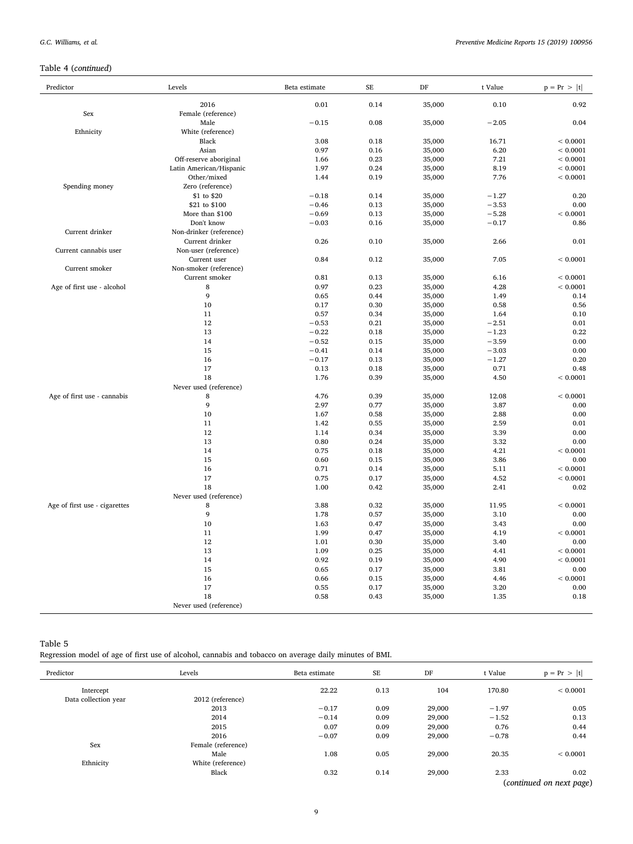## Table 4 (continued)

| Predictor                     | Levels                  | Beta estimate | SE           | DF               | t Value      | $p = Pr >  t $   |
|-------------------------------|-------------------------|---------------|--------------|------------------|--------------|------------------|
|                               | 2016                    | 0.01          | 0.14         | 35,000           | 0.10         | 0.92             |
| Sex                           | Female (reference)      |               |              |                  |              |                  |
|                               | Male                    | $-0.15$       | 0.08         | 35,000           | $-2.05$      | 0.04             |
| Ethnicity                     | White (reference)       |               |              |                  |              |                  |
|                               | Black                   | 3.08          | 0.18         | 35,000           | 16.71        | < 0.0001         |
|                               | Asian                   | 0.97          | 0.16         | 35,000           | 6.20         | < 0.0001         |
|                               | Off-reserve aboriginal  | 1.66          | 0.23         | 35,000           | 7.21         | < 0.0001         |
|                               | Latin American/Hispanic | 1.97          | 0.24         | 35,000           | 8.19         | < 0.0001         |
|                               | Other/mixed             | 1.44          | 0.19         | 35,000           | 7.76         | < 0.0001         |
| Spending money                | Zero (reference)        |               |              |                  |              |                  |
|                               | \$1 to \$20             | $-0.18$       | 0.14         | 35,000           | $-1.27$      | 0.20             |
|                               | \$21 to \$100           | $-0.46$       | 0.13         | 35,000           | $-3.53$      | 0.00             |
|                               | More than \$100         | $-0.69$       | 0.13         | 35,000           | $-5.28$      | < 0.0001         |
|                               | Don't know              | $-0.03$       | 0.16         | 35,000           | $-0.17$      | 0.86             |
| Current drinker               | Non-drinker (reference) |               |              |                  |              |                  |
|                               | Current drinker         | 0.26          | 0.10         | 35,000           | 2.66         | 0.01             |
| Current cannabis user         | Non-user (reference)    |               |              |                  |              |                  |
|                               | Current user            | 0.84          | 0.12         | 35,000           | 7.05         | < 0.0001         |
| Current smoker                | Non-smoker (reference)  |               |              |                  |              |                  |
|                               | Current smoker          | 0.81          | 0.13         | 35,000           | 6.16         | < 0.0001         |
| Age of first use - alcohol    | 8                       | 0.97          | 0.23         | 35,000           | 4.28         | < 0.0001         |
|                               | 9                       | 0.65          | 0.44         | 35,000           | 1.49         | 0.14             |
|                               | 10                      | 0.17          | 0.30         | 35,000           | 0.58         | 0.56             |
|                               | 11                      | 0.57          | 0.34         | 35,000           | 1.64         | 0.10             |
|                               | 12                      | $-0.53$       | 0.21         | 35,000           | $-2.51$      | 0.01             |
|                               | 13                      | $-0.22$       | 0.18         | 35,000           | $-1.23$      | 0.22             |
|                               | 14                      | $-0.52$       | 0.15         | 35,000           | $-3.59$      | 0.00             |
|                               | 15                      | $-0.41$       | 0.14         | 35,000           | $-3.03$      | 0.00             |
|                               | 16                      | $-0.17$       | 0.13         | 35,000           | $-1.27$      | 0.20             |
|                               | 17                      | 0.13          | 0.18         | 35,000           | 0.71         | 0.48             |
|                               | 18                      | 1.76          | 0.39         | 35,000           | 4.50         | < 0.0001         |
|                               | Never used (reference)  |               |              |                  |              |                  |
| Age of first use - cannabis   | 8                       | 4.76          | 0.39         | 35,000           | 12.08        | < 0.0001         |
|                               | 9                       | 2.97          | 0.77         | 35,000           | 3.87         | 0.00             |
|                               | 10                      | 1.67          | 0.58         | 35,000           | 2.88         | 0.00             |
|                               | 11                      | 1.42          | 0.55         | 35,000           | 2.59         | 0.01             |
|                               | 12                      | 1.14          | 0.34         | 35,000           | 3.39         | 0.00             |
|                               | 13                      | 0.80          | 0.24         |                  | 3.32         | 0.00             |
|                               | 14                      | 0.75          | 0.18         | 35,000<br>35,000 | 4.21         | < 0.0001         |
|                               |                         |               |              |                  |              |                  |
|                               | 15<br>16                | 0.60<br>0.71  | 0.15<br>0.14 | 35,000           | 3.86<br>5.11 | 0.00<br>< 0.0001 |
|                               |                         |               |              | 35,000           |              | < 0.0001         |
|                               | 17                      | 0.75          | 0.17         | 35,000           | 4.52         |                  |
|                               | 18                      | 1.00          | 0.42         | 35,000           | 2.41         | 0.02             |
|                               | Never used (reference)  |               |              |                  |              |                  |
| Age of first use - cigarettes | 8                       | 3.88          | 0.32         | 35,000           | 11.95        | < 0.0001         |
|                               | 9                       | 1.78          | 0.57         | 35,000           | 3.10         | 0.00             |
|                               | 10                      | 1.63          | 0.47         | 35,000           | 3.43         | 0.00             |
|                               | 11                      | 1.99          | 0.47         | 35,000           | 4.19         | < 0.0001         |
|                               | 12                      | 1.01          | 0.30         | 35,000           | 3.40         | 0.00             |
|                               | 13                      | 1.09          | 0.25         | 35,000           | 4.41         | < 0.0001         |
|                               | 14                      | 0.92          | 0.19         | 35,000           | 4.90         | < 0.0001         |
|                               | 15                      | 0.65          | 0.17         | 35,000           | 3.81         | 0.00             |
|                               | 16                      | 0.66          | 0.15         | 35,000           | 4.46         | < 0.0001         |
|                               | 17                      | 0.55          | 0.17         | 35,000           | 3.20         | 0.00             |
|                               | 18                      | 0.58          | 0.43         | 35,000           | 1.35         | 0.18             |
|                               | Never used (reference)  |               |              |                  |              |                  |

### Table 5

Regression model of age of first use of alcohol, cannabis and tobacco on average daily minutes of BMI.

| Predictor            | Levels             | Beta estimate | <b>SE</b> | DF     | t Value | $p = Pr >  t $           |
|----------------------|--------------------|---------------|-----------|--------|---------|--------------------------|
| Intercept            |                    | 22.22         | 0.13      | 104    | 170.80  | ${}< 0.0001$             |
| Data collection year | 2012 (reference)   |               |           |        |         |                          |
|                      | 2013               | $-0.17$       | 0.09      | 29,000 | $-1.97$ | 0.05                     |
|                      | 2014               | $-0.14$       | 0.09      | 29,000 | $-1.52$ | 0.13                     |
|                      | 2015               | 0.07          | 0.09      | 29,000 | 0.76    | 0.44                     |
|                      | 2016               | $-0.07$       | 0.09      | 29,000 | $-0.78$ | 0.44                     |
| Sex                  | Female (reference) |               |           |        |         |                          |
|                      | Male               | 1.08          | 0.05      | 29,000 | 20.35   | ${}< 0.0001$             |
| Ethnicity            | White (reference)  |               |           |        |         |                          |
|                      | Black              | 0.32          | 0.14      | 29,000 | 2.33    | 0.02                     |
|                      |                    |               |           |        |         | (continued on next page) |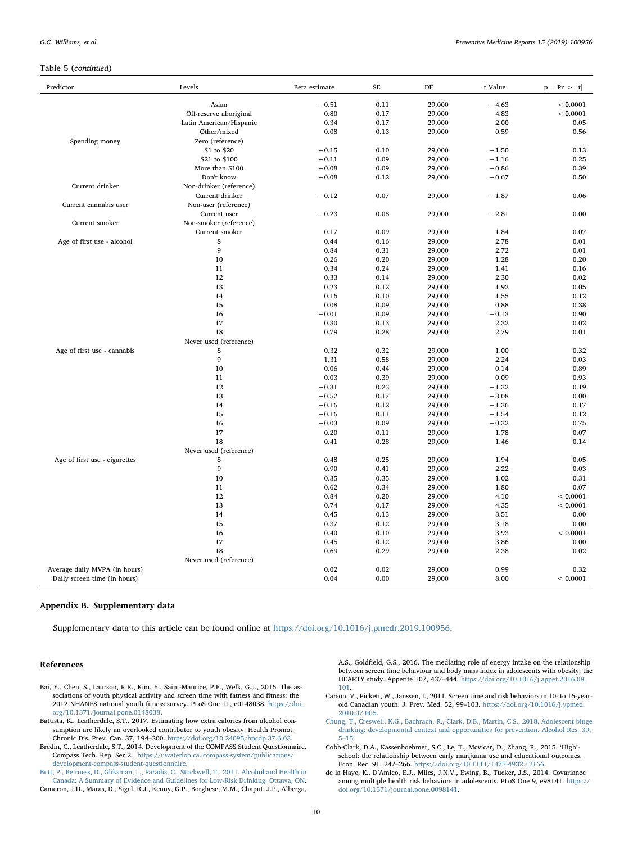#### Table 5 (continued)

| Asian<br>$-0.51$<br>0.11<br>29,000<br>$-4.63$<br>< 0.0001<br>0.80<br>0.17<br>29,000<br>4.83<br>< 0.0001<br>Off-reserve aboriginal<br>Latin American/Hispanic<br>0.34<br>0.17<br>29,000<br>2.00<br>0.05<br>Other/mixed<br>0.08<br>0.59<br>0.56<br>0.13<br>29,000<br>Zero (reference)<br>Spending money<br>\$1 to \$20<br>0.10<br>$-0.15$<br>29,000<br>$-1.50$<br>0.13<br>\$21 to \$100<br>$-0.11$<br>0.09<br>0.25<br>29,000<br>$-1.16$<br>More than \$100<br>$-0.08$<br>0.09<br>29,000<br>$-0.86$<br>0.39<br>Don't know<br>$-0.08$<br>0.12<br>29,000<br>$-0.67$<br>0.50<br>Current drinker<br>Non-drinker (reference)<br>Current drinker<br>$-0.12$<br>0.07<br>0.06<br>29,000<br>$-1.87$<br>Non-user (reference)<br>Current cannabis user<br>$-0.23$<br>0.08<br>0.00<br>Current user<br>29,000<br>$-2.81$<br>Current smoker<br>Non-smoker (reference)<br>Current smoker<br>0.09<br>0.17<br>29,000<br>1.84<br>0.07<br>Age of first use - alcohol<br>8<br>0.44<br>0.16<br>29,000<br>2.78<br>0.01<br>9<br>0.84<br>0.31<br>29,000<br>2.72<br>0.01<br>10<br>0.26<br>0.20<br>29,000<br>1.28<br>0.20<br>11<br>0.34<br>0.16<br>0.24<br>29,000<br>1.41<br>12<br>0.33<br>0.02<br>0.14<br>29,000<br>2.30<br>13<br>0.23<br>29,000<br>0.05<br>0.12<br>1.92<br>14<br>0.16<br>0.10<br>29,000<br>1.55<br>0.12<br>15<br>0.08<br>0.09<br>29,000<br>0.88<br>0.38<br>$-0.01$<br>0.90<br>16<br>0.09<br>29,000<br>$-0.13$<br>17<br>0.30<br>29,000<br>2.32<br>0.02<br>0.13<br>18<br>0.79<br>29,000<br>2.79<br>0.01<br>0.28<br>Never used (reference)<br>Age of first use - cannabis<br>0.32<br>0.32<br>1.00<br>0.32<br>8<br>29,000<br>9<br>1.31<br>0.58<br>29,000<br>2.24<br>0.03<br>10<br>0.06<br>29,000<br>0.89<br>0.44<br>0.14<br>0.09<br>0.93<br>11<br>0.03<br>0.39<br>29,000<br>12<br>$-0.31$<br>0.23<br>29,000<br>$-1.32$<br>0.19<br>$-0.52$<br>$-3.08$<br>0.00<br>13<br>0.17<br>29,000<br>14<br>$-0.16$<br>0.12<br>29,000<br>$-1.36$<br>0.17<br>$-1.54$<br>15<br>$-0.16$<br>0.11<br>29,000<br>0.12<br>$-0.03$<br>0.75<br>16<br>0.09<br>29,000<br>$-0.32$<br>17<br>0.07<br>0.20<br>0.11<br>29,000<br>1.78<br>18<br>0.41<br>0.28<br>29,000<br>1.46<br>0.14<br>Never used (reference)<br>Age of first use - cigarettes<br>8<br>0.48<br>0.25<br>29,000<br>1.94<br>0.05<br>9<br>0.90<br>0.41<br>29,000<br>2.22<br>0.03<br>10<br>0.35<br>29,000<br>0.35<br>1.02<br>0.31<br>11<br>0.07<br>0.62<br>0.34<br>29,000<br>1.80<br>0.84<br>< 0.0001<br>12<br>0.20<br>29,000<br>4.10<br>< 0.0001<br>13<br>0.74<br>0.17<br>29,000<br>4.35<br>14<br>0.45<br>0.13<br>29,000<br>3.51<br>0.00<br>15<br>0.37<br>0.12<br>29,000<br>3.18<br>0.00<br>16<br>29,000<br>3.93<br>< 0.0001<br>0.40<br>0.10<br>17<br>0.45<br>0.12<br>0.00<br>29,000<br>3.86<br>18<br>0.69<br>0.29<br>29,000<br>2.38<br>0.02<br>Never used (reference)<br>0.02<br>Average daily MVPA (in hours)<br>0.02<br>29,000<br>0.99<br>0.32<br>0.04<br>< 0.0001<br>Daily screen time (in hours)<br>0.00<br>29,000<br>8.00 | Predictor | Levels | Beta estimate | SE | DF | t Value | $p = Pr >  t $ |
|-------------------------------------------------------------------------------------------------------------------------------------------------------------------------------------------------------------------------------------------------------------------------------------------------------------------------------------------------------------------------------------------------------------------------------------------------------------------------------------------------------------------------------------------------------------------------------------------------------------------------------------------------------------------------------------------------------------------------------------------------------------------------------------------------------------------------------------------------------------------------------------------------------------------------------------------------------------------------------------------------------------------------------------------------------------------------------------------------------------------------------------------------------------------------------------------------------------------------------------------------------------------------------------------------------------------------------------------------------------------------------------------------------------------------------------------------------------------------------------------------------------------------------------------------------------------------------------------------------------------------------------------------------------------------------------------------------------------------------------------------------------------------------------------------------------------------------------------------------------------------------------------------------------------------------------------------------------------------------------------------------------------------------------------------------------------------------------------------------------------------------------------------------------------------------------------------------------------------------------------------------------------------------------------------------------------------------------------------------------------------------------------------------------------------------------------------------------------------------------------------------------------------------------------------------------------------------------------------------------------------------------------------------------------------------------------------------------------------------------------------------------------------------------------------------------------------------------------------------------------------------------------------------------------------------------------------|-----------|--------|---------------|----|----|---------|----------------|
|                                                                                                                                                                                                                                                                                                                                                                                                                                                                                                                                                                                                                                                                                                                                                                                                                                                                                                                                                                                                                                                                                                                                                                                                                                                                                                                                                                                                                                                                                                                                                                                                                                                                                                                                                                                                                                                                                                                                                                                                                                                                                                                                                                                                                                                                                                                                                                                                                                                                                                                                                                                                                                                                                                                                                                                                                                                                                                                                                 |           |        |               |    |    |         |                |
|                                                                                                                                                                                                                                                                                                                                                                                                                                                                                                                                                                                                                                                                                                                                                                                                                                                                                                                                                                                                                                                                                                                                                                                                                                                                                                                                                                                                                                                                                                                                                                                                                                                                                                                                                                                                                                                                                                                                                                                                                                                                                                                                                                                                                                                                                                                                                                                                                                                                                                                                                                                                                                                                                                                                                                                                                                                                                                                                                 |           |        |               |    |    |         |                |
|                                                                                                                                                                                                                                                                                                                                                                                                                                                                                                                                                                                                                                                                                                                                                                                                                                                                                                                                                                                                                                                                                                                                                                                                                                                                                                                                                                                                                                                                                                                                                                                                                                                                                                                                                                                                                                                                                                                                                                                                                                                                                                                                                                                                                                                                                                                                                                                                                                                                                                                                                                                                                                                                                                                                                                                                                                                                                                                                                 |           |        |               |    |    |         |                |
|                                                                                                                                                                                                                                                                                                                                                                                                                                                                                                                                                                                                                                                                                                                                                                                                                                                                                                                                                                                                                                                                                                                                                                                                                                                                                                                                                                                                                                                                                                                                                                                                                                                                                                                                                                                                                                                                                                                                                                                                                                                                                                                                                                                                                                                                                                                                                                                                                                                                                                                                                                                                                                                                                                                                                                                                                                                                                                                                                 |           |        |               |    |    |         |                |
|                                                                                                                                                                                                                                                                                                                                                                                                                                                                                                                                                                                                                                                                                                                                                                                                                                                                                                                                                                                                                                                                                                                                                                                                                                                                                                                                                                                                                                                                                                                                                                                                                                                                                                                                                                                                                                                                                                                                                                                                                                                                                                                                                                                                                                                                                                                                                                                                                                                                                                                                                                                                                                                                                                                                                                                                                                                                                                                                                 |           |        |               |    |    |         |                |
|                                                                                                                                                                                                                                                                                                                                                                                                                                                                                                                                                                                                                                                                                                                                                                                                                                                                                                                                                                                                                                                                                                                                                                                                                                                                                                                                                                                                                                                                                                                                                                                                                                                                                                                                                                                                                                                                                                                                                                                                                                                                                                                                                                                                                                                                                                                                                                                                                                                                                                                                                                                                                                                                                                                                                                                                                                                                                                                                                 |           |        |               |    |    |         |                |
|                                                                                                                                                                                                                                                                                                                                                                                                                                                                                                                                                                                                                                                                                                                                                                                                                                                                                                                                                                                                                                                                                                                                                                                                                                                                                                                                                                                                                                                                                                                                                                                                                                                                                                                                                                                                                                                                                                                                                                                                                                                                                                                                                                                                                                                                                                                                                                                                                                                                                                                                                                                                                                                                                                                                                                                                                                                                                                                                                 |           |        |               |    |    |         |                |
|                                                                                                                                                                                                                                                                                                                                                                                                                                                                                                                                                                                                                                                                                                                                                                                                                                                                                                                                                                                                                                                                                                                                                                                                                                                                                                                                                                                                                                                                                                                                                                                                                                                                                                                                                                                                                                                                                                                                                                                                                                                                                                                                                                                                                                                                                                                                                                                                                                                                                                                                                                                                                                                                                                                                                                                                                                                                                                                                                 |           |        |               |    |    |         |                |
|                                                                                                                                                                                                                                                                                                                                                                                                                                                                                                                                                                                                                                                                                                                                                                                                                                                                                                                                                                                                                                                                                                                                                                                                                                                                                                                                                                                                                                                                                                                                                                                                                                                                                                                                                                                                                                                                                                                                                                                                                                                                                                                                                                                                                                                                                                                                                                                                                                                                                                                                                                                                                                                                                                                                                                                                                                                                                                                                                 |           |        |               |    |    |         |                |
|                                                                                                                                                                                                                                                                                                                                                                                                                                                                                                                                                                                                                                                                                                                                                                                                                                                                                                                                                                                                                                                                                                                                                                                                                                                                                                                                                                                                                                                                                                                                                                                                                                                                                                                                                                                                                                                                                                                                                                                                                                                                                                                                                                                                                                                                                                                                                                                                                                                                                                                                                                                                                                                                                                                                                                                                                                                                                                                                                 |           |        |               |    |    |         |                |
|                                                                                                                                                                                                                                                                                                                                                                                                                                                                                                                                                                                                                                                                                                                                                                                                                                                                                                                                                                                                                                                                                                                                                                                                                                                                                                                                                                                                                                                                                                                                                                                                                                                                                                                                                                                                                                                                                                                                                                                                                                                                                                                                                                                                                                                                                                                                                                                                                                                                                                                                                                                                                                                                                                                                                                                                                                                                                                                                                 |           |        |               |    |    |         |                |
|                                                                                                                                                                                                                                                                                                                                                                                                                                                                                                                                                                                                                                                                                                                                                                                                                                                                                                                                                                                                                                                                                                                                                                                                                                                                                                                                                                                                                                                                                                                                                                                                                                                                                                                                                                                                                                                                                                                                                                                                                                                                                                                                                                                                                                                                                                                                                                                                                                                                                                                                                                                                                                                                                                                                                                                                                                                                                                                                                 |           |        |               |    |    |         |                |
|                                                                                                                                                                                                                                                                                                                                                                                                                                                                                                                                                                                                                                                                                                                                                                                                                                                                                                                                                                                                                                                                                                                                                                                                                                                                                                                                                                                                                                                                                                                                                                                                                                                                                                                                                                                                                                                                                                                                                                                                                                                                                                                                                                                                                                                                                                                                                                                                                                                                                                                                                                                                                                                                                                                                                                                                                                                                                                                                                 |           |        |               |    |    |         |                |
|                                                                                                                                                                                                                                                                                                                                                                                                                                                                                                                                                                                                                                                                                                                                                                                                                                                                                                                                                                                                                                                                                                                                                                                                                                                                                                                                                                                                                                                                                                                                                                                                                                                                                                                                                                                                                                                                                                                                                                                                                                                                                                                                                                                                                                                                                                                                                                                                                                                                                                                                                                                                                                                                                                                                                                                                                                                                                                                                                 |           |        |               |    |    |         |                |
|                                                                                                                                                                                                                                                                                                                                                                                                                                                                                                                                                                                                                                                                                                                                                                                                                                                                                                                                                                                                                                                                                                                                                                                                                                                                                                                                                                                                                                                                                                                                                                                                                                                                                                                                                                                                                                                                                                                                                                                                                                                                                                                                                                                                                                                                                                                                                                                                                                                                                                                                                                                                                                                                                                                                                                                                                                                                                                                                                 |           |        |               |    |    |         |                |
|                                                                                                                                                                                                                                                                                                                                                                                                                                                                                                                                                                                                                                                                                                                                                                                                                                                                                                                                                                                                                                                                                                                                                                                                                                                                                                                                                                                                                                                                                                                                                                                                                                                                                                                                                                                                                                                                                                                                                                                                                                                                                                                                                                                                                                                                                                                                                                                                                                                                                                                                                                                                                                                                                                                                                                                                                                                                                                                                                 |           |        |               |    |    |         |                |
|                                                                                                                                                                                                                                                                                                                                                                                                                                                                                                                                                                                                                                                                                                                                                                                                                                                                                                                                                                                                                                                                                                                                                                                                                                                                                                                                                                                                                                                                                                                                                                                                                                                                                                                                                                                                                                                                                                                                                                                                                                                                                                                                                                                                                                                                                                                                                                                                                                                                                                                                                                                                                                                                                                                                                                                                                                                                                                                                                 |           |        |               |    |    |         |                |
|                                                                                                                                                                                                                                                                                                                                                                                                                                                                                                                                                                                                                                                                                                                                                                                                                                                                                                                                                                                                                                                                                                                                                                                                                                                                                                                                                                                                                                                                                                                                                                                                                                                                                                                                                                                                                                                                                                                                                                                                                                                                                                                                                                                                                                                                                                                                                                                                                                                                                                                                                                                                                                                                                                                                                                                                                                                                                                                                                 |           |        |               |    |    |         |                |
|                                                                                                                                                                                                                                                                                                                                                                                                                                                                                                                                                                                                                                                                                                                                                                                                                                                                                                                                                                                                                                                                                                                                                                                                                                                                                                                                                                                                                                                                                                                                                                                                                                                                                                                                                                                                                                                                                                                                                                                                                                                                                                                                                                                                                                                                                                                                                                                                                                                                                                                                                                                                                                                                                                                                                                                                                                                                                                                                                 |           |        |               |    |    |         |                |
|                                                                                                                                                                                                                                                                                                                                                                                                                                                                                                                                                                                                                                                                                                                                                                                                                                                                                                                                                                                                                                                                                                                                                                                                                                                                                                                                                                                                                                                                                                                                                                                                                                                                                                                                                                                                                                                                                                                                                                                                                                                                                                                                                                                                                                                                                                                                                                                                                                                                                                                                                                                                                                                                                                                                                                                                                                                                                                                                                 |           |        |               |    |    |         |                |
|                                                                                                                                                                                                                                                                                                                                                                                                                                                                                                                                                                                                                                                                                                                                                                                                                                                                                                                                                                                                                                                                                                                                                                                                                                                                                                                                                                                                                                                                                                                                                                                                                                                                                                                                                                                                                                                                                                                                                                                                                                                                                                                                                                                                                                                                                                                                                                                                                                                                                                                                                                                                                                                                                                                                                                                                                                                                                                                                                 |           |        |               |    |    |         |                |
|                                                                                                                                                                                                                                                                                                                                                                                                                                                                                                                                                                                                                                                                                                                                                                                                                                                                                                                                                                                                                                                                                                                                                                                                                                                                                                                                                                                                                                                                                                                                                                                                                                                                                                                                                                                                                                                                                                                                                                                                                                                                                                                                                                                                                                                                                                                                                                                                                                                                                                                                                                                                                                                                                                                                                                                                                                                                                                                                                 |           |        |               |    |    |         |                |
|                                                                                                                                                                                                                                                                                                                                                                                                                                                                                                                                                                                                                                                                                                                                                                                                                                                                                                                                                                                                                                                                                                                                                                                                                                                                                                                                                                                                                                                                                                                                                                                                                                                                                                                                                                                                                                                                                                                                                                                                                                                                                                                                                                                                                                                                                                                                                                                                                                                                                                                                                                                                                                                                                                                                                                                                                                                                                                                                                 |           |        |               |    |    |         |                |
|                                                                                                                                                                                                                                                                                                                                                                                                                                                                                                                                                                                                                                                                                                                                                                                                                                                                                                                                                                                                                                                                                                                                                                                                                                                                                                                                                                                                                                                                                                                                                                                                                                                                                                                                                                                                                                                                                                                                                                                                                                                                                                                                                                                                                                                                                                                                                                                                                                                                                                                                                                                                                                                                                                                                                                                                                                                                                                                                                 |           |        |               |    |    |         |                |
|                                                                                                                                                                                                                                                                                                                                                                                                                                                                                                                                                                                                                                                                                                                                                                                                                                                                                                                                                                                                                                                                                                                                                                                                                                                                                                                                                                                                                                                                                                                                                                                                                                                                                                                                                                                                                                                                                                                                                                                                                                                                                                                                                                                                                                                                                                                                                                                                                                                                                                                                                                                                                                                                                                                                                                                                                                                                                                                                                 |           |        |               |    |    |         |                |
|                                                                                                                                                                                                                                                                                                                                                                                                                                                                                                                                                                                                                                                                                                                                                                                                                                                                                                                                                                                                                                                                                                                                                                                                                                                                                                                                                                                                                                                                                                                                                                                                                                                                                                                                                                                                                                                                                                                                                                                                                                                                                                                                                                                                                                                                                                                                                                                                                                                                                                                                                                                                                                                                                                                                                                                                                                                                                                                                                 |           |        |               |    |    |         |                |
|                                                                                                                                                                                                                                                                                                                                                                                                                                                                                                                                                                                                                                                                                                                                                                                                                                                                                                                                                                                                                                                                                                                                                                                                                                                                                                                                                                                                                                                                                                                                                                                                                                                                                                                                                                                                                                                                                                                                                                                                                                                                                                                                                                                                                                                                                                                                                                                                                                                                                                                                                                                                                                                                                                                                                                                                                                                                                                                                                 |           |        |               |    |    |         |                |
|                                                                                                                                                                                                                                                                                                                                                                                                                                                                                                                                                                                                                                                                                                                                                                                                                                                                                                                                                                                                                                                                                                                                                                                                                                                                                                                                                                                                                                                                                                                                                                                                                                                                                                                                                                                                                                                                                                                                                                                                                                                                                                                                                                                                                                                                                                                                                                                                                                                                                                                                                                                                                                                                                                                                                                                                                                                                                                                                                 |           |        |               |    |    |         |                |
|                                                                                                                                                                                                                                                                                                                                                                                                                                                                                                                                                                                                                                                                                                                                                                                                                                                                                                                                                                                                                                                                                                                                                                                                                                                                                                                                                                                                                                                                                                                                                                                                                                                                                                                                                                                                                                                                                                                                                                                                                                                                                                                                                                                                                                                                                                                                                                                                                                                                                                                                                                                                                                                                                                                                                                                                                                                                                                                                                 |           |        |               |    |    |         |                |
|                                                                                                                                                                                                                                                                                                                                                                                                                                                                                                                                                                                                                                                                                                                                                                                                                                                                                                                                                                                                                                                                                                                                                                                                                                                                                                                                                                                                                                                                                                                                                                                                                                                                                                                                                                                                                                                                                                                                                                                                                                                                                                                                                                                                                                                                                                                                                                                                                                                                                                                                                                                                                                                                                                                                                                                                                                                                                                                                                 |           |        |               |    |    |         |                |
|                                                                                                                                                                                                                                                                                                                                                                                                                                                                                                                                                                                                                                                                                                                                                                                                                                                                                                                                                                                                                                                                                                                                                                                                                                                                                                                                                                                                                                                                                                                                                                                                                                                                                                                                                                                                                                                                                                                                                                                                                                                                                                                                                                                                                                                                                                                                                                                                                                                                                                                                                                                                                                                                                                                                                                                                                                                                                                                                                 |           |        |               |    |    |         |                |
|                                                                                                                                                                                                                                                                                                                                                                                                                                                                                                                                                                                                                                                                                                                                                                                                                                                                                                                                                                                                                                                                                                                                                                                                                                                                                                                                                                                                                                                                                                                                                                                                                                                                                                                                                                                                                                                                                                                                                                                                                                                                                                                                                                                                                                                                                                                                                                                                                                                                                                                                                                                                                                                                                                                                                                                                                                                                                                                                                 |           |        |               |    |    |         |                |
|                                                                                                                                                                                                                                                                                                                                                                                                                                                                                                                                                                                                                                                                                                                                                                                                                                                                                                                                                                                                                                                                                                                                                                                                                                                                                                                                                                                                                                                                                                                                                                                                                                                                                                                                                                                                                                                                                                                                                                                                                                                                                                                                                                                                                                                                                                                                                                                                                                                                                                                                                                                                                                                                                                                                                                                                                                                                                                                                                 |           |        |               |    |    |         |                |
|                                                                                                                                                                                                                                                                                                                                                                                                                                                                                                                                                                                                                                                                                                                                                                                                                                                                                                                                                                                                                                                                                                                                                                                                                                                                                                                                                                                                                                                                                                                                                                                                                                                                                                                                                                                                                                                                                                                                                                                                                                                                                                                                                                                                                                                                                                                                                                                                                                                                                                                                                                                                                                                                                                                                                                                                                                                                                                                                                 |           |        |               |    |    |         |                |
|                                                                                                                                                                                                                                                                                                                                                                                                                                                                                                                                                                                                                                                                                                                                                                                                                                                                                                                                                                                                                                                                                                                                                                                                                                                                                                                                                                                                                                                                                                                                                                                                                                                                                                                                                                                                                                                                                                                                                                                                                                                                                                                                                                                                                                                                                                                                                                                                                                                                                                                                                                                                                                                                                                                                                                                                                                                                                                                                                 |           |        |               |    |    |         |                |
|                                                                                                                                                                                                                                                                                                                                                                                                                                                                                                                                                                                                                                                                                                                                                                                                                                                                                                                                                                                                                                                                                                                                                                                                                                                                                                                                                                                                                                                                                                                                                                                                                                                                                                                                                                                                                                                                                                                                                                                                                                                                                                                                                                                                                                                                                                                                                                                                                                                                                                                                                                                                                                                                                                                                                                                                                                                                                                                                                 |           |        |               |    |    |         |                |
|                                                                                                                                                                                                                                                                                                                                                                                                                                                                                                                                                                                                                                                                                                                                                                                                                                                                                                                                                                                                                                                                                                                                                                                                                                                                                                                                                                                                                                                                                                                                                                                                                                                                                                                                                                                                                                                                                                                                                                                                                                                                                                                                                                                                                                                                                                                                                                                                                                                                                                                                                                                                                                                                                                                                                                                                                                                                                                                                                 |           |        |               |    |    |         |                |
|                                                                                                                                                                                                                                                                                                                                                                                                                                                                                                                                                                                                                                                                                                                                                                                                                                                                                                                                                                                                                                                                                                                                                                                                                                                                                                                                                                                                                                                                                                                                                                                                                                                                                                                                                                                                                                                                                                                                                                                                                                                                                                                                                                                                                                                                                                                                                                                                                                                                                                                                                                                                                                                                                                                                                                                                                                                                                                                                                 |           |        |               |    |    |         |                |
|                                                                                                                                                                                                                                                                                                                                                                                                                                                                                                                                                                                                                                                                                                                                                                                                                                                                                                                                                                                                                                                                                                                                                                                                                                                                                                                                                                                                                                                                                                                                                                                                                                                                                                                                                                                                                                                                                                                                                                                                                                                                                                                                                                                                                                                                                                                                                                                                                                                                                                                                                                                                                                                                                                                                                                                                                                                                                                                                                 |           |        |               |    |    |         |                |
|                                                                                                                                                                                                                                                                                                                                                                                                                                                                                                                                                                                                                                                                                                                                                                                                                                                                                                                                                                                                                                                                                                                                                                                                                                                                                                                                                                                                                                                                                                                                                                                                                                                                                                                                                                                                                                                                                                                                                                                                                                                                                                                                                                                                                                                                                                                                                                                                                                                                                                                                                                                                                                                                                                                                                                                                                                                                                                                                                 |           |        |               |    |    |         |                |
|                                                                                                                                                                                                                                                                                                                                                                                                                                                                                                                                                                                                                                                                                                                                                                                                                                                                                                                                                                                                                                                                                                                                                                                                                                                                                                                                                                                                                                                                                                                                                                                                                                                                                                                                                                                                                                                                                                                                                                                                                                                                                                                                                                                                                                                                                                                                                                                                                                                                                                                                                                                                                                                                                                                                                                                                                                                                                                                                                 |           |        |               |    |    |         |                |
|                                                                                                                                                                                                                                                                                                                                                                                                                                                                                                                                                                                                                                                                                                                                                                                                                                                                                                                                                                                                                                                                                                                                                                                                                                                                                                                                                                                                                                                                                                                                                                                                                                                                                                                                                                                                                                                                                                                                                                                                                                                                                                                                                                                                                                                                                                                                                                                                                                                                                                                                                                                                                                                                                                                                                                                                                                                                                                                                                 |           |        |               |    |    |         |                |
|                                                                                                                                                                                                                                                                                                                                                                                                                                                                                                                                                                                                                                                                                                                                                                                                                                                                                                                                                                                                                                                                                                                                                                                                                                                                                                                                                                                                                                                                                                                                                                                                                                                                                                                                                                                                                                                                                                                                                                                                                                                                                                                                                                                                                                                                                                                                                                                                                                                                                                                                                                                                                                                                                                                                                                                                                                                                                                                                                 |           |        |               |    |    |         |                |
|                                                                                                                                                                                                                                                                                                                                                                                                                                                                                                                                                                                                                                                                                                                                                                                                                                                                                                                                                                                                                                                                                                                                                                                                                                                                                                                                                                                                                                                                                                                                                                                                                                                                                                                                                                                                                                                                                                                                                                                                                                                                                                                                                                                                                                                                                                                                                                                                                                                                                                                                                                                                                                                                                                                                                                                                                                                                                                                                                 |           |        |               |    |    |         |                |
|                                                                                                                                                                                                                                                                                                                                                                                                                                                                                                                                                                                                                                                                                                                                                                                                                                                                                                                                                                                                                                                                                                                                                                                                                                                                                                                                                                                                                                                                                                                                                                                                                                                                                                                                                                                                                                                                                                                                                                                                                                                                                                                                                                                                                                                                                                                                                                                                                                                                                                                                                                                                                                                                                                                                                                                                                                                                                                                                                 |           |        |               |    |    |         |                |
|                                                                                                                                                                                                                                                                                                                                                                                                                                                                                                                                                                                                                                                                                                                                                                                                                                                                                                                                                                                                                                                                                                                                                                                                                                                                                                                                                                                                                                                                                                                                                                                                                                                                                                                                                                                                                                                                                                                                                                                                                                                                                                                                                                                                                                                                                                                                                                                                                                                                                                                                                                                                                                                                                                                                                                                                                                                                                                                                                 |           |        |               |    |    |         |                |
|                                                                                                                                                                                                                                                                                                                                                                                                                                                                                                                                                                                                                                                                                                                                                                                                                                                                                                                                                                                                                                                                                                                                                                                                                                                                                                                                                                                                                                                                                                                                                                                                                                                                                                                                                                                                                                                                                                                                                                                                                                                                                                                                                                                                                                                                                                                                                                                                                                                                                                                                                                                                                                                                                                                                                                                                                                                                                                                                                 |           |        |               |    |    |         |                |
|                                                                                                                                                                                                                                                                                                                                                                                                                                                                                                                                                                                                                                                                                                                                                                                                                                                                                                                                                                                                                                                                                                                                                                                                                                                                                                                                                                                                                                                                                                                                                                                                                                                                                                                                                                                                                                                                                                                                                                                                                                                                                                                                                                                                                                                                                                                                                                                                                                                                                                                                                                                                                                                                                                                                                                                                                                                                                                                                                 |           |        |               |    |    |         |                |
|                                                                                                                                                                                                                                                                                                                                                                                                                                                                                                                                                                                                                                                                                                                                                                                                                                                                                                                                                                                                                                                                                                                                                                                                                                                                                                                                                                                                                                                                                                                                                                                                                                                                                                                                                                                                                                                                                                                                                                                                                                                                                                                                                                                                                                                                                                                                                                                                                                                                                                                                                                                                                                                                                                                                                                                                                                                                                                                                                 |           |        |               |    |    |         |                |
|                                                                                                                                                                                                                                                                                                                                                                                                                                                                                                                                                                                                                                                                                                                                                                                                                                                                                                                                                                                                                                                                                                                                                                                                                                                                                                                                                                                                                                                                                                                                                                                                                                                                                                                                                                                                                                                                                                                                                                                                                                                                                                                                                                                                                                                                                                                                                                                                                                                                                                                                                                                                                                                                                                                                                                                                                                                                                                                                                 |           |        |               |    |    |         |                |
|                                                                                                                                                                                                                                                                                                                                                                                                                                                                                                                                                                                                                                                                                                                                                                                                                                                                                                                                                                                                                                                                                                                                                                                                                                                                                                                                                                                                                                                                                                                                                                                                                                                                                                                                                                                                                                                                                                                                                                                                                                                                                                                                                                                                                                                                                                                                                                                                                                                                                                                                                                                                                                                                                                                                                                                                                                                                                                                                                 |           |        |               |    |    |         |                |
|                                                                                                                                                                                                                                                                                                                                                                                                                                                                                                                                                                                                                                                                                                                                                                                                                                                                                                                                                                                                                                                                                                                                                                                                                                                                                                                                                                                                                                                                                                                                                                                                                                                                                                                                                                                                                                                                                                                                                                                                                                                                                                                                                                                                                                                                                                                                                                                                                                                                                                                                                                                                                                                                                                                                                                                                                                                                                                                                                 |           |        |               |    |    |         |                |

#### Appendix B. Supplementary data

Supplementary data to this article can be found online at [https://doi.org/10.1016/j.pmedr.2019.100956.](https://doi.org/10.1016/j.pmedr.2019.100956)

#### References

- <span id="page-9-5"></span>Bai, Y., Chen, S., Laurson, K.R., Kim, Y., Saint-Maurice, P.F., Welk, G.J., 2016. The associations of youth physical activity and screen time with fatness and fitness: the  $2012$  NHANES national youth fitness survey. PLoS One  $11,$   $e0148038$   ${\rm \, https://doi.}$  ${\rm \, https://doi.}$  ${\rm \, https://doi.}$ [org/10.1371/journal.pone.0148038](https://doi.org/10.1371/journal.pone.0148038).
- <span id="page-9-3"></span>Battista, K., Leatherdale, S.T., 2017. Estimating how extra calories from alcohol consumption are likely an overlooked contributor to youth obesity. Health Promot. Chronic Dis. Prev. Can. 37, 194–200. [https://doi.org/10.24095/hpcdp.37.6.03.](https://doi.org/10.24095/hpcdp.37.6.03)
- <span id="page-9-6"></span>Bredin, C., Leatherdale, S.T., 2014. Development of the COMPASS Student Questionnaire. Compass Tech. Rep. Ser 2. [https://uwaterloo.ca/compass-system/publications/](https://uwaterloo.ca/compass-system/publications/development-compass-student-questionnaire) [development-compass-student-questionnaire](https://uwaterloo.ca/compass-system/publications/development-compass-student-questionnaire).
- <span id="page-9-8"></span><span id="page-9-0"></span>[Butt, P., Beirness, D., Gliksman, L., Paradis, C., Stockwell, T., 2011. Alcohol and Health in](http://refhub.elsevier.com/S2211-3355(19)30128-7/rf0020) [Canada: A Summary of Evidence and Guidelines for Low-Risk Drinking. Ottawa, ON.](http://refhub.elsevier.com/S2211-3355(19)30128-7/rf0020) Cameron, J.D., Maras, D., Sigal, R.J., Kenny, G.P., Borghese, M.M., Chaput, J.P., Alberga,

A.S., Goldfield, G.S., 2016. The mediating role of energy intake on the relationship between screen time behaviour and body mass index in adolescents with obesity: the HEARTY study. Appetite 107, 437–444. [https://doi.org/10.1016/j.appet.2016.08.](https://doi.org/10.1016/j.appet.2016.08.101) [101](https://doi.org/10.1016/j.appet.2016.08.101).

- <span id="page-9-4"></span>Carson, V., Pickett, W., Janssen, I., 2011. Screen time and risk behaviors in 10- to 16-yearold Canadian youth. J. Prev. Med. 52, 99–103. [https://doi.org/10.1016/j.ypmed.](https://doi.org/10.1016/j.ypmed.2010.07.005) [2010.07.005](https://doi.org/10.1016/j.ypmed.2010.07.005).
- <span id="page-9-2"></span>[Chung, T., Creswell, K.G., Bachrach, R., Clark, D.B., Martin, C.S., 2018. Adolescent binge](http://refhub.elsevier.com/S2211-3355(19)30128-7/rf0035) [drinking: developmental context and opportunities for prevention. Alcohol Res. 39,](http://refhub.elsevier.com/S2211-3355(19)30128-7/rf0035) 5–[15.](http://refhub.elsevier.com/S2211-3355(19)30128-7/rf0035)
- <span id="page-9-1"></span>Cobb-Clark, D.A., Kassenboehmer, S.C., Le, T., Mcvicar, D., Zhang, R., 2015. 'High' school: the relationship between early marijuana use and educational outcomes. Econ. Rec. 91, 247–266. <https://doi.org/10.1111/1475-4932.12166>.
- <span id="page-9-7"></span>de la Haye, K., D'Amico, E.J., Miles, J.N.V., Ewing, B., Tucker, J.S., 2014. Covariance among multiple health risk behaviors in adolescents. PLoS One 9, e98141. [https://](https://doi.org/10.1371/journal.pone.0098141) [doi.org/10.1371/journal.pone.0098141.](https://doi.org/10.1371/journal.pone.0098141)